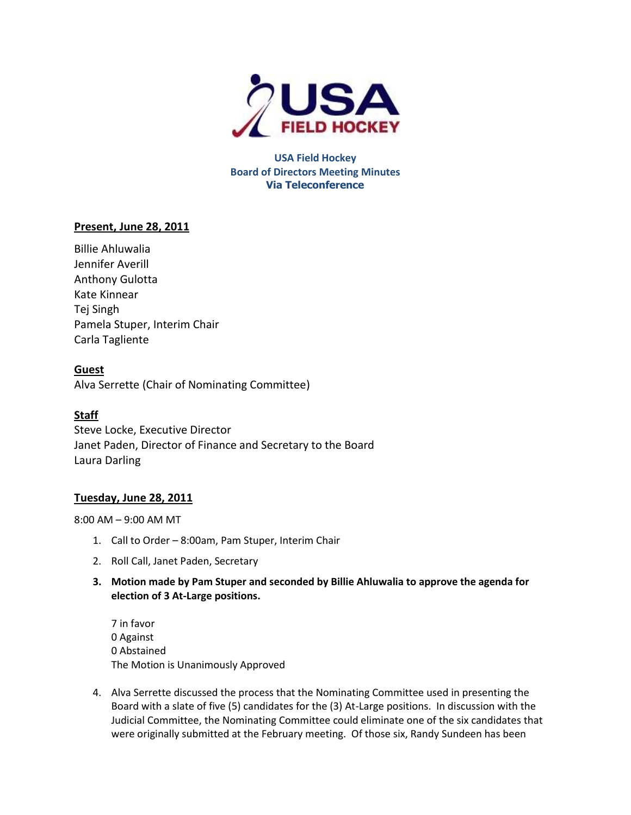

**USA Field Hockey Board of Directors Meeting Minutes Via Teleconference**

# **Present, June 28, 2011**

Billie Ahluwalia Jennifer Averill Anthony Gulotta Kate Kinnear Tej Singh Pamela Stuper, Interim Chair Carla Tagliente

# **Guest**

Alva Serrette (Chair of Nominating Committee)

# **Staff**

Steve Locke, Executive Director Janet Paden, Director of Finance and Secretary to the Board Laura Darling

# **Tuesday, June 28, 2011**

8:00 AM – 9:00 AM MT

- 1. Call to Order 8:00am, Pam Stuper, Interim Chair
- 2. Roll Call, Janet Paden, Secretary
- **3. Motion made by Pam Stuper and seconded by Billie Ahluwalia to approve the agenda for election of 3 At-Large positions.**

7 in favor 0 Against 0 Abstained The Motion is Unanimously Approved

4. Alva Serrette discussed the process that the Nominating Committee used in presenting the Board with a slate of five (5) candidates for the (3) At-Large positions. In discussion with the Judicial Committee, the Nominating Committee could eliminate one of the six candidates that were originally submitted at the February meeting. Of those six, Randy Sundeen has been